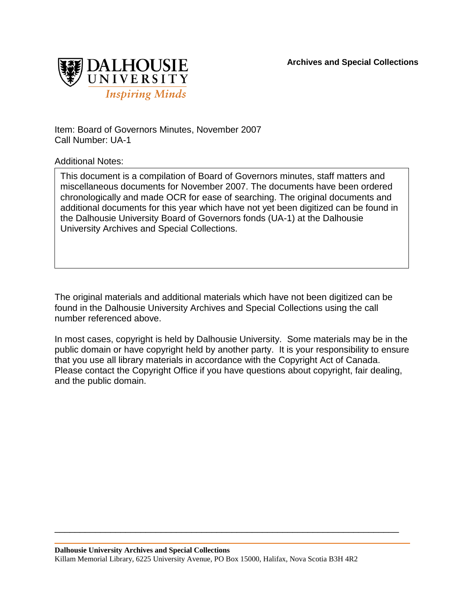

Item: Board of Governors Minutes, November 2007 Call Number: UA-1

Additional Notes:

This document is a compilation of Board of Governors minutes, staff matters and miscellaneous documents for November 2007. The documents have been ordered chronologically and made OCR for ease of searching. The original documents and additional documents for this year which have not yet been digitized can be found in the Dalhousie University Board of Governors fonds (UA-1) at the Dalhousie University Archives and Special Collections.

The original materials and additional materials which have not been digitized can be found in the Dalhousie University Archives and Special Collections using the call number referenced above.

In most cases, copyright is held by Dalhousie University. Some materials may be in the public domain or have copyright held by another party. It is your responsibility to ensure that you use all library materials in accordance with the Copyright Act of Canada. Please contact the Copyright Office if you have questions about copyright, fair dealing, and the public domain.

\_\_\_\_\_\_\_\_\_\_\_\_\_\_\_\_\_\_\_\_\_\_\_\_\_\_\_\_\_\_\_\_\_\_\_\_\_\_\_\_\_\_\_\_\_\_\_\_\_\_\_\_\_\_\_\_\_\_\_\_\_\_\_\_\_\_\_\_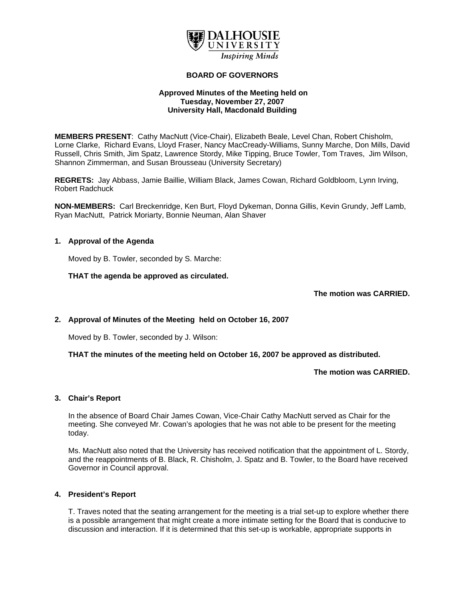

### **BOARD OF GOVERNORS**

## **Approved Minutes of the Meeting held on Tuesday, November 27, 2007 University Hall, Macdonald Building**

**MEMBERS PRESENT**: Cathy MacNutt (Vice-Chair), Elizabeth Beale, Level Chan, Robert Chisholm, Lorne Clarke, Richard Evans, Lloyd Fraser, Nancy MacCready-Williams, Sunny Marche, Don Mills, David Russell, Chris Smith, Jim Spatz, Lawrence Stordy, Mike Tipping, Bruce Towler, Tom Traves, Jim Wilson, Shannon Zimmerman, and Susan Brousseau (University Secretary)

**REGRETS:** Jay Abbass, Jamie Baillie, William Black, James Cowan, Richard Goldbloom, Lynn Irving, Robert Radchuck

**NON-MEMBERS:** Carl Breckenridge, Ken Burt, Floyd Dykeman, Donna Gillis, Kevin Grundy, Jeff Lamb, Ryan MacNutt, Patrick Moriarty, Bonnie Neuman, Alan Shaver

## **1. Approval of the Agenda**

Moved by B. Towler, seconded by S. Marche:

**THAT the agenda be approved as circulated.** 

**The motion was CARRIED.** 

## **2. Approval of Minutes of the Meeting held on October 16, 2007**

Moved by B. Towler, seconded by J. Wilson:

**THAT the minutes of the meeting held on October 16, 2007 be approved as distributed.** 

**The motion was CARRIED.** 

#### **3. Chair's Report**

In the absence of Board Chair James Cowan, Vice-Chair Cathy MacNutt served as Chair for the meeting. She conveyed Mr. Cowan's apologies that he was not able to be present for the meeting today.

Ms. MacNutt also noted that the University has received notification that the appointment of L. Stordy, and the reappointments of B. Black, R. Chisholm, J. Spatz and B. Towler, to the Board have received Governor in Council approval.

#### **4. President's Report**

T. Traves noted that the seating arrangement for the meeting is a trial set-up to explore whether there is a possible arrangement that might create a more intimate setting for the Board that is conducive to discussion and interaction. If it is determined that this set-up is workable, appropriate supports in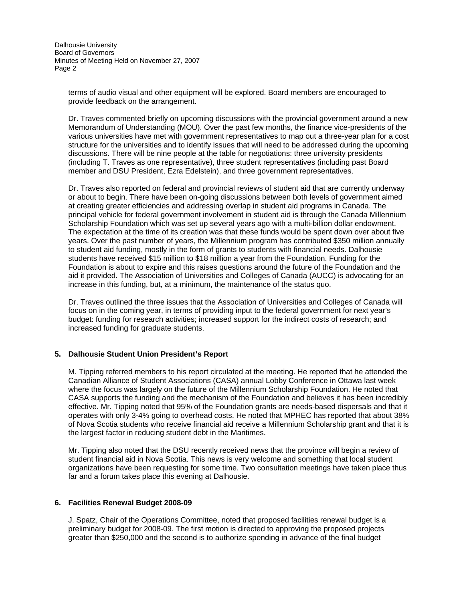Dalhousie University Board of Governors Minutes of Meeting Held on November 27, 2007 Page 2

terms of audio visual and other equipment will be explored. Board members are encouraged to provide feedback on the arrangement.

Dr. Traves commented briefly on upcoming discussions with the provincial government around a new Memorandum of Understanding (MOU). Over the past few months, the finance vice-presidents of the various universities have met with government representatives to map out a three-year plan for a cost structure for the universities and to identify issues that will need to be addressed during the upcoming discussions. There will be nine people at the table for negotiations: three university presidents (including T. Traves as one representative), three student representatives (including past Board member and DSU President, Ezra Edelstein), and three government representatives.

Dr. Traves also reported on federal and provincial reviews of student aid that are currently underway or about to begin. There have been on-going discussions between both levels of government aimed at creating greater efficiencies and addressing overlap in student aid programs in Canada. The principal vehicle for federal government involvement in student aid is through the Canada Millennium Scholarship Foundation which was set up several years ago with a multi-billion dollar endowment. The expectation at the time of its creation was that these funds would be spent down over about five years. Over the past number of years, the Millennium program has contributed \$350 million annually to student aid funding, mostly in the form of grants to students with financial needs. Dalhousie students have received \$15 million to \$18 million a year from the Foundation. Funding for the Foundation is about to expire and this raises questions around the future of the Foundation and the aid it provided. The Association of Universities and Colleges of Canada (AUCC) is advocating for an increase in this funding, but, at a minimum, the maintenance of the status quo.

Dr. Traves outlined the three issues that the Association of Universities and Colleges of Canada will focus on in the coming year, in terms of providing input to the federal government for next year's budget: funding for research activities; increased support for the indirect costs of research; and increased funding for graduate students.

## **5. Dalhousie Student Union President's Report**

M. Tipping referred members to his report circulated at the meeting. He reported that he attended the Canadian Alliance of Student Associations (CASA) annual Lobby Conference in Ottawa last week where the focus was largely on the future of the Millennium Scholarship Foundation. He noted that CASA supports the funding and the mechanism of the Foundation and believes it has been incredibly effective. Mr. Tipping noted that 95% of the Foundation grants are needs-based dispersals and that it operates with only 3-4% going to overhead costs. He noted that MPHEC has reported that about 38% of Nova Scotia students who receive financial aid receive a Millennium Scholarship grant and that it is the largest factor in reducing student debt in the Maritimes.

Mr. Tipping also noted that the DSU recently received news that the province will begin a review of student financial aid in Nova Scotia. This news is very welcome and something that local student organizations have been requesting for some time. Two consultation meetings have taken place thus far and a forum takes place this evening at Dalhousie.

#### **6. Facilities Renewal Budget 2008-09**

J. Spatz, Chair of the Operations Committee, noted that proposed facilities renewal budget is a preliminary budget for 2008-09. The first motion is directed to approving the proposed projects greater than \$250,000 and the second is to authorize spending in advance of the final budget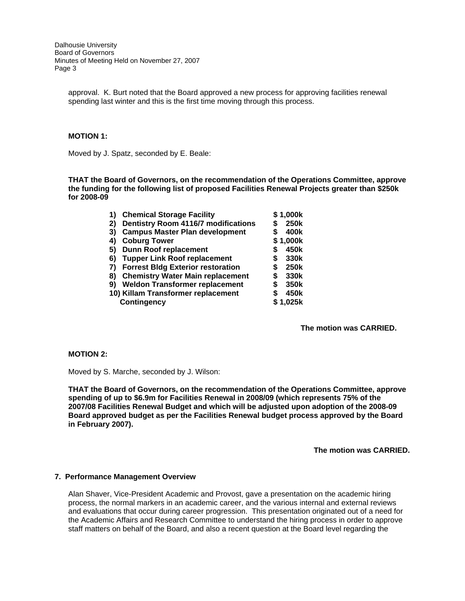Dalhousie University Board of Governors Minutes of Meeting Held on November 27, 2007 Page 3

approval. K. Burt noted that the Board approved a new process for approving facilities renewal spending last winter and this is the first time moving through this process.

### **MOTION 1:**

Moved by J. Spatz, seconded by E. Beale:

**THAT the Board of Governors, on the recommendation of the Operations Committee, approve the funding for the following list of proposed Facilities Renewal Projects greater than \$250k for 2008-09** 

> **1) Chemical Storage Facility \$ 1,000k 2) Dentistry Room 4116/7 modifications 3) Campus Master Plan development \$ 400k 4) Coburg Tower \$ 1,000k 5) Dunn Roof replacement \$ 450k 6) Tupper Link Roof replacement \$ 330k 7) Forrest Bldg Exterior restoration \$ 250k 8) Chemistry Water Main replacement 9) Weldon Transformer replacement \$ 350k 10) Killam Transformer replacement \$ 450k Contingency \$ 1,025k**

> > **The motion was CARRIED.**

### **MOTION 2:**

Moved by S. Marche, seconded by J. Wilson:

**THAT the Board of Governors, on the recommendation of the Operations Committee, approve spending of up to \$6.9m for Facilities Renewal in 2008/09 (which represents 75% of the 2007/08 Facilities Renewal Budget and which will be adjusted upon adoption of the 2008-09 Board approved budget as per the Facilities Renewal budget process approved by the Board in February 2007).** 

**The motion was CARRIED.** 

#### **7. Performance Management Overview**

Alan Shaver, Vice-President Academic and Provost, gave a presentation on the academic hiring process, the normal markers in an academic career, and the various internal and external reviews and evaluations that occur during career progression. This presentation originated out of a need for the Academic Affairs and Research Committee to understand the hiring process in order to approve staff matters on behalf of the Board, and also a recent question at the Board level regarding the